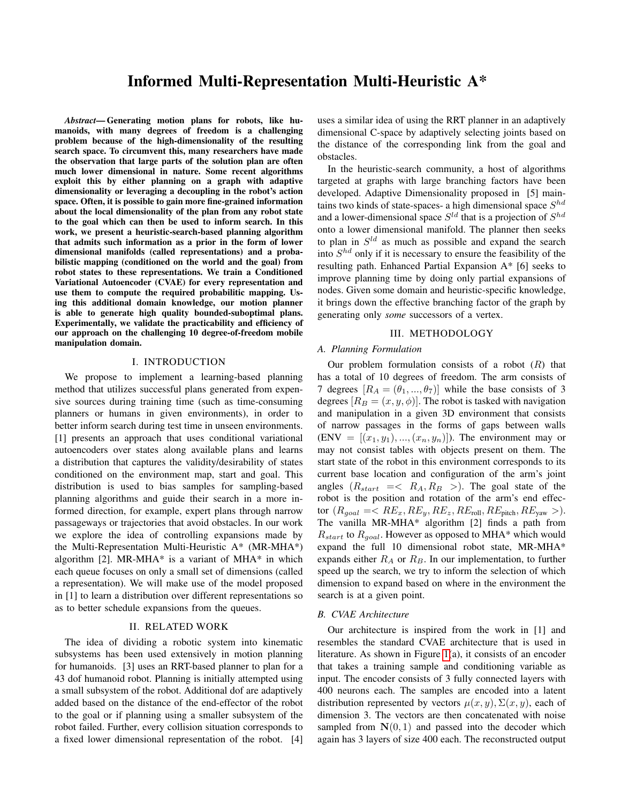# Informed Multi-Representation Multi-Heuristic A\*

*Abstract*— Generating motion plans for robots, like humanoids, with many degrees of freedom is a challenging problem because of the high-dimensionality of the resulting search space. To circumvent this, many researchers have made the observation that large parts of the solution plan are often much lower dimensional in nature. Some recent algorithms exploit this by either planning on a graph with adaptive dimensionality or leveraging a decoupling in the robot's action space. Often, it is possible to gain more fine-grained information about the local dimensionality of the plan from any robot state to the goal which can then be used to inform search. In this work, we present a heuristic-search-based planning algorithm that admits such information as a prior in the form of lower dimensional manifolds (called representations) and a probabilistic mapping (conditioned on the world and the goal) from robot states to these representations. We train a Conditioned Variational Autoencoder (CVAE) for every representation and use them to compute the required probabilitic mapping. Using this additional domain knowledge, our motion planner is able to generate high quality bounded-suboptimal plans. Experimentally, we validate the practicability and efficiency of our approach on the challenging 10 degree-of-freedom mobile manipulation domain.

# I. INTRODUCTION

We propose to implement a learning-based planning method that utilizes successful plans generated from expensive sources during training time (such as time-consuming planners or humans in given environments), in order to better inform search during test time in unseen environments. [1] presents an approach that uses conditional variational autoencoders over states along available plans and learns a distribution that captures the validity/desirability of states conditioned on the environment map, start and goal. This distribution is used to bias samples for sampling-based planning algorithms and guide their search in a more informed direction, for example, expert plans through narrow passageways or trajectories that avoid obstacles. In our work we explore the idea of controlling expansions made by the Multi-Representation Multi-Heuristic A\* (MR-MHA\*) algorithm [2]. MR-MHA $*$  is a variant of MHA $*$  in which each queue focuses on only a small set of dimensions (called a representation). We will make use of the model proposed in [1] to learn a distribution over different representations so as to better schedule expansions from the queues.

## II. RELATED WORK

The idea of dividing a robotic system into kinematic subsystems has been used extensively in motion planning for humanoids. [3] uses an RRT-based planner to plan for a 43 dof humanoid robot. Planning is initially attempted using a small subsystem of the robot. Additional dof are adaptively added based on the distance of the end-effector of the robot to the goal or if planning using a smaller subsystem of the robot failed. Further, every collision situation corresponds to a fixed lower dimensional representation of the robot. [4]

uses a similar idea of using the RRT planner in an adaptively dimensional C-space by adaptively selecting joints based on the distance of the corresponding link from the goal and obstacles.

In the heuristic-search community, a host of algorithms targeted at graphs with large branching factors have been developed. Adaptive Dimensionality proposed in [5] maintains two kinds of state-spaces- a high dimensional space  $S^{hd}$ and a lower-dimensional space  $S^{ld}$  that is a projection of  $S^{hd}$ onto a lower dimensional manifold. The planner then seeks to plan in  $S^{ld}$  as much as possible and expand the search into  $S^{hd}$  only if it is necessary to ensure the feasibility of the resulting path. Enhanced Partial Expansion A\* [6] seeks to improve planning time by doing only partial expansions of nodes. Given some domain and heuristic-specific knowledge, it brings down the effective branching factor of the graph by generating only *some* successors of a vertex.

#### III. METHODOLOGY

# *A. Planning Formulation*

Our problem formulation consists of a robot  $(R)$  that has a total of 10 degrees of freedom. The arm consists of 7 degrees  $[R_A = (\theta_1, ..., \theta_7)]$  while the base consists of 3 degrees  $[R_B = (x, y, \phi)]$ . The robot is tasked with navigation and manipulation in a given 3D environment that consists of narrow passages in the forms of gaps between walls  $(ENV = [(x_1, y_1), ..., (x_n, y_n)]$ ). The environment may or may not consist tables with objects present on them. The start state of the robot in this environment corresponds to its current base location and configuration of the arm's joint angles  $(R_{start} = < R_A, R_B >)$ . The goal state of the robot is the position and rotation of the arm's end effector  $(R_{goal} = R E_x, RE_y, RE_z, RE_{roll}, RE_{pitch}, RE_{yaw} >)$ . The vanilla MR-MHA\* algorithm [2] finds a path from  $R_{start}$  to  $R_{goal}$ . However as opposed to MHA\* which would expand the full 10 dimensional robot state, MR-MHA\* expands either  $R_A$  or  $R_B$ . In our implementation, to further speed up the search, we try to inform the selection of which dimension to expand based on where in the environment the search is at a given point.

# *B. CVAE Architecture*

Our architecture is inspired from the work in [1] and resembles the standard CVAE architecture that is used in literature. As shown in Figure [1\(](#page-1-0)a), it consists of an encoder that takes a training sample and conditioning variable as input. The encoder consists of 3 fully connected layers with 400 neurons each. The samples are encoded into a latent distribution represented by vectors  $\mu(x, y), \Sigma(x, y)$ , each of dimension 3. The vectors are then concatenated with noise sampled from  $N(0, 1)$  and passed into the decoder which again has 3 layers of size 400 each. The reconstructed output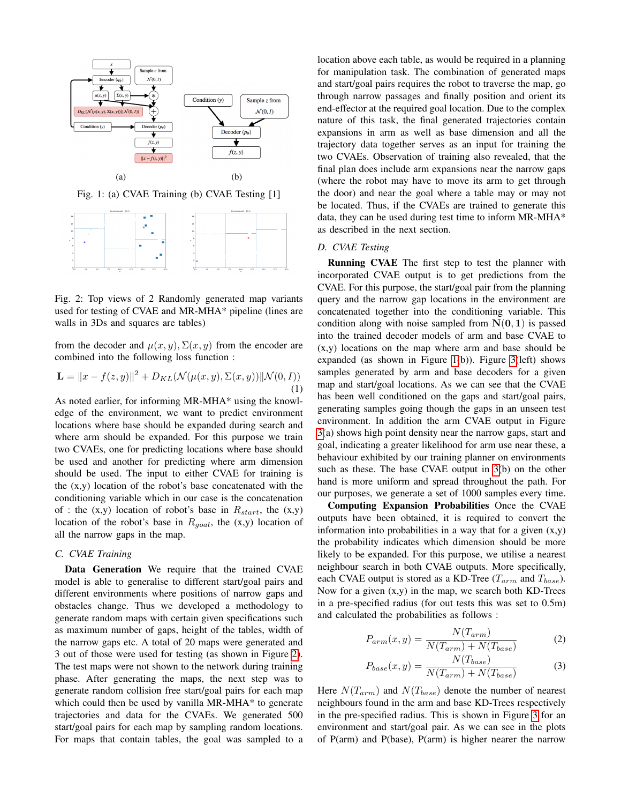<span id="page-1-0"></span>

Fig. 1: (a) CVAE Training (b) CVAE Testing [1]

<span id="page-1-1"></span>

Fig. 2: Top views of 2 Randomly generated map variants used for testing of CVAE and MR-MHA\* pipeline (lines are walls in 3Ds and squares are tables)

from the decoder and  $\mu(x, y), \Sigma(x, y)$  from the encoder are combined into the following loss function :

$$
\mathbf{L} = ||x - f(z, y)||^2 + D_{KL}(\mathcal{N}(\mu(x, y), \Sigma(x, y))||\mathcal{N}(0, I))
$$
\n(1)

As noted earlier, for informing MR-MHA\* using the knowledge of the environment, we want to predict environment locations where base should be expanded during search and where arm should be expanded. For this purpose we train two CVAEs, one for predicting locations where base should be used and another for predicting where arm dimension should be used. The input to either CVAE for training is the  $(x,y)$  location of the robot's base concatenated with the conditioning variable which in our case is the concatenation of : the  $(x,y)$  location of robot's base in  $R_{start}$ , the  $(x,y)$ location of the robot's base in  $R_{goal}$ , the (x,y) location of all the narrow gaps in the map.

## *C. CVAE Training*

Data Generation We require that the trained CVAE model is able to generalise to different start/goal pairs and different environments where positions of narrow gaps and obstacles change. Thus we developed a methodology to generate random maps with certain given specifications such as maximum number of gaps, height of the tables, width of the narrow gaps etc. A total of 20 maps were generated and 3 out of those were used for testing (as shown in Figure [2\)](#page-1-1). The test maps were not shown to the network during training phase. After generating the maps, the next step was to generate random collision free start/goal pairs for each map which could then be used by vanilla MR-MHA\* to generate trajectories and data for the CVAEs. We generated 500 start/goal pairs for each map by sampling random locations. For maps that contain tables, the goal was sampled to a location above each table, as would be required in a planning for manipulation task. The combination of generated maps and start/goal pairs requires the robot to traverse the map, go through narrow passages and finally position and orient its end-effector at the required goal location. Due to the complex nature of this task, the final generated trajectories contain expansions in arm as well as base dimension and all the trajectory data together serves as an input for training the two CVAEs. Observation of training also revealed, that the final plan does include arm expansions near the narrow gaps (where the robot may have to move its arm to get through the door) and near the goal where a table may or may not be located. Thus, if the CVAEs are trained to generate this data, they can be used during test time to inform MR-MHA\* as described in the next section.

## *D. CVAE Testing*

Running CVAE The first step to test the planner with incorporated CVAE output is to get predictions from the CVAE. For this purpose, the start/goal pair from the planning query and the narrow gap locations in the environment are concatenated together into the conditioning variable. This condition along with noise sampled from  $N(0, 1)$  is passed into the trained decoder models of arm and base CVAE to (x,y) locations on the map where arm and base should be expanded (as shown in Figure [1\(](#page-1-0)b)). Figure [3\(](#page-2-0)left) shows samples generated by arm and base decoders for a given map and start/goal locations. As we can see that the CVAE has been well conditioned on the gaps and start/goal pairs, generating samples going though the gaps in an unseen test environment. In addition the arm CVAE output in Figure [3\(](#page-2-0)a) shows high point density near the narrow gaps, start and goal, indicating a greater likelihood for arm use near these, a behaviour exhibited by our training planner on environments such as these. The base CVAE output in [3\(](#page-2-0)b) on the other hand is more uniform and spread throughout the path. For our purposes, we generate a set of 1000 samples every time.

Computing Expansion Probabilities Once the CVAE outputs have been obtained, it is required to convert the information into probabilities in a way that for a given  $(x,y)$ the probability indicates which dimension should be more likely to be expanded. For this purpose, we utilise a nearest neighbour search in both CVAE outputs. More specifically, each CVAE output is stored as a KD-Tree ( $T_{arm}$  and  $T_{base}$ ). Now for a given  $(x,y)$  in the map, we search both KD-Trees in a pre-specified radius (for out tests this was set to 0.5m) and calculated the probabilities as follows :

$$
P_{arm}(x,y) = \frac{N(T_{arm})}{N(T_{arm}) + N(T_{base})}
$$
 (2)

$$
P_{base}(x, y) = \frac{N(T_{base})}{N(T_{arm}) + N(T_{base})}
$$
(3)

Here  $N(T_{arm})$  and  $N(T_{base})$  denote the number of nearest neighbours found in the arm and base KD-Trees respectively in the pre-specified radius. This is shown in Figure [3](#page-2-0) for an environment and start/goal pair. As we can see in the plots of P(arm) and P(base), P(arm) is higher nearer the narrow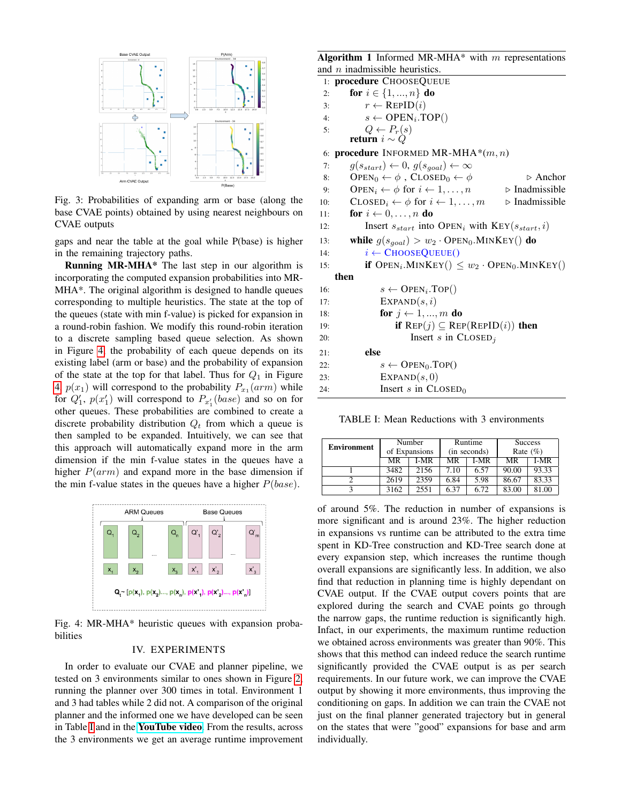<span id="page-2-0"></span>

Fig. 3: Probabilities of expanding arm or base (along the base CVAE points) obtained by using nearest neighbours on CVAE outputs

gaps and near the table at the goal while P(base) is higher in the remaining trajectory paths.

Running MR-MHA\* The last step in our algorithm is incorporating the computed expansion probabilities into MR-MHA\*. The original algorithm is designed to handle queues corresponding to multiple heuristics. The state at the top of the queues (state with min f-value) is picked for expansion in a round-robin fashion. We modify this round-robin iteration to a discrete sampling based queue selection. As shown in Figure [4,](#page-2-1) the probability of each queue depends on its existing label (arm or base) and the probability of expansion of the state at the top for that label. Thus for  $Q_1$  in Figure [4,](#page-2-1)  $p(x_1)$  will correspond to the probability  $P_{x_1}(arm)$  while for  $Q'_1$ ,  $p(x'_1)$  will correspond to  $P_{x'_1}(base)$  and so on for other queues. These probabilities are combined to create a discrete probability distribution  $Q_t$  from which a queue is then sampled to be expanded. Intuitively, we can see that this approach will automatically expand more in the arm dimension if the min f-value states in the queues have a higher  $P(arm)$  and expand more in the base dimension if the min f-value states in the queues have a higher  $P(base)$ .

<span id="page-2-1"></span>

Fig. 4: MR-MHA\* heuristic queues with expansion probabilities

#### IV. EXPERIMENTS

In order to evaluate our CVAE and planner pipeline, we tested on 3 environments similar to ones shown in Figure [2,](#page-1-1) running the planner over 300 times in total. Environment 1 and 3 had tables while 2 did not. A comparison of the original planner and the informed one we have developed can be seen in Table [I](#page-2-2) and in the [YouTube video](https://www.youtube.com/watch?v=1qIXPbPmPNw). From the results, across the 3 environments we get an average runtime improvement

**Algorithm 1** Informed MR-MHA\* with  $m$  representations and  $n$  inadmissible heuristics.

|     | and $n$ madmissible neuristics.                                                                        |
|-----|--------------------------------------------------------------------------------------------------------|
|     | 1: procedure CHOOSEQUEUE                                                                               |
| 2:  | for $i \in \{1, , n\}$ do                                                                              |
| 3:  | $r \leftarrow \text{REPID}(i)$                                                                         |
| 4:  | $s \leftarrow$ OPEN <sub>i</sub> .TOP()                                                                |
| 5:  | $Q \leftarrow P_r(s)$                                                                                  |
|     | return $i \sim Q$                                                                                      |
|     | 6: <b>procedure</b> INFORMED MR-MHA <sup>*</sup> $(m, n)$                                              |
| 7:  | $g(s_{start}) \leftarrow 0, g(s_{goal}) \leftarrow \infty$                                             |
| 8:  | OPEN <sub>0</sub> $\leftarrow \phi$ , CLOSED <sub>0</sub> $\leftarrow \phi$<br>$\triangleright$ Anchor |
| 9:  | OPEN <sub>i</sub> $\leftarrow \phi$ for $i \leftarrow 1, \ldots, n$<br>$\triangleright$ Inadmissible   |
| 10: | CLOSED <sub>i</sub> $\leftarrow \phi$ for $i \leftarrow 1, \ldots, m$<br>$\triangleright$ Inadmissible |
| 11: | for $i \leftarrow 0, \ldots, n$ do                                                                     |
| 12: | Insert $s_{start}$ into OPEN <sub>i</sub> with $KEY(s_{start}, i)$                                     |
| 13: | while $g(s_{goal}) > w_2 \cdot \text{OPEN}_0.\text{MINKEY}()$ do                                       |
| 14: | $i \leftarrow$ ChooseQueue()                                                                           |
| 15: | <b>if</b> OPEN <sub>i</sub> . MINKEY() $\leq w_2 \cdot$ OPEN <sub>0</sub> . MINKEY()                   |
|     | then                                                                                                   |
| 16: | $s \leftarrow$ OPEN <sub>i</sub> .TOP()                                                                |
| 17: | EXPAND(s, i)                                                                                           |
| 18: | for $j \leftarrow 1, , m$ do                                                                           |
| 19: | if $\text{Rep}(j) \subseteq \text{Rep}(\text{RepID}(i))$ then                                          |
| 20: | Insert $s$ in $\text{CLOSED}_j$                                                                        |
| 21: | else                                                                                                   |
| 22: | $s \leftarrow$ OPEN <sub>0</sub> .TOP()                                                                |
| 23: | EXPAND(s, 0)                                                                                           |
| 24: | Insert s in $C$ LOSED <sub>0</sub>                                                                     |
|     |                                                                                                        |

<span id="page-2-2"></span>TABLE I: Mean Reductions with 3 environments

| <b>Environment</b> | Number<br>of Expansions |      | Runtime<br>(in seconds) |      | <b>Success</b><br>Rate $(\% )$ |       |
|--------------------|-------------------------|------|-------------------------|------|--------------------------------|-------|
|                    | МR                      | I-MR | MR                      | I-MR | MR                             | I-MR  |
|                    | 3482                    | 2156 | 7.10                    | 6.57 | 90.00                          | 93.33 |
|                    | 2619                    | 2359 | 6.84                    | 5.98 | 86.67                          | 83.33 |
|                    | 3162                    | 2551 | 6.37                    | 6.72 | 83.00                          | 81.00 |

of around 5%. The reduction in number of expansions is more significant and is around 23%. The higher reduction in expansions vs runtime can be attributed to the extra time spent in KD-Tree construction and KD-Tree search done at every expansion step, which increases the runtime though overall expansions are significantly less. In addition, we also find that reduction in planning time is highly dependant on CVAE output. If the CVAE output covers points that are explored during the search and CVAE points go through the narrow gaps, the runtime reduction is significantly high. Infact, in our experiments, the maximum runtime reduction we obtained across environments was greater than 90%. This shows that this method can indeed reduce the search runtime significantly provided the CVAE output is as per search requirements. In our future work, we can improve the CVAE output by showing it more environments, thus improving the conditioning on gaps. In addition we can train the CVAE not just on the final planner generated trajectory but in general on the states that were "good" expansions for base and arm individually.